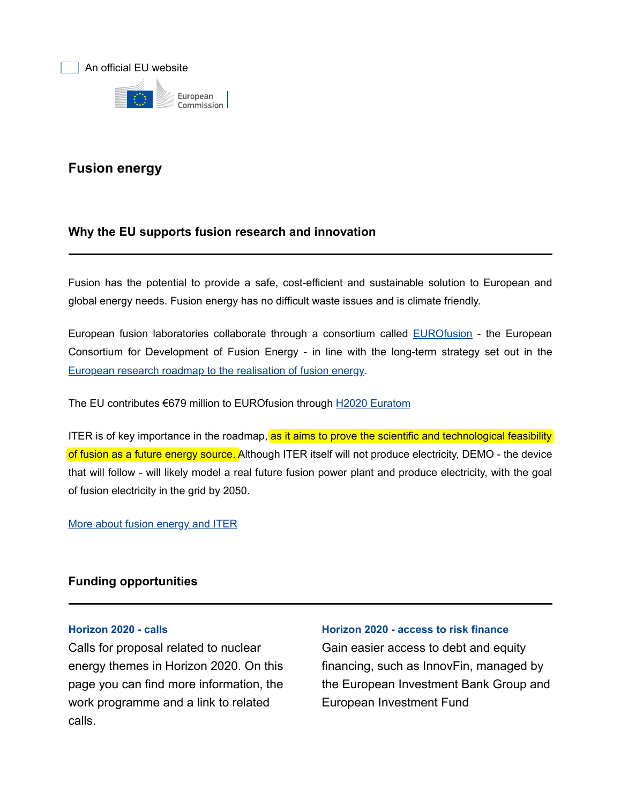

# Fusion energy

# Why the EU supports fusion research and innovation

Fusion has the potential to provide a safe, cost-efficient and sustainable solution to European and global energy needs. Fusion energy has no difficult waste issues and is climate friendly.

European fusion laboratories collaborate through a consortium called EUROfusion - the European Consortium for Development of Fusion Energy - in line with the long-term strategy set out in the [European research roadmap to the realisation of fusion energy](https://www.euro-fusion.org/eurofusion/roadmap/).

The EU contributes €679 million to EUROfusion through [H2020 Euratom](https://ec.europa.eu/programmes/horizon2020/en/h2020-section/euratom)

ITER is of key importance in the roadmap, as it aims to prove the scientific and technological feasibility of fusion as a future energy source. Although ITER itself will not produce electricity, DEMO - the device that will follow - will likely model a real future fusion power plant and produce electricity, with the goal of fusion electricity in the grid by 2050.

[More about fusion energy and ITER](https://ec.europa.eu/energy/en/topics/technology-and-innovation/fusion-energy-and-iter)

# Funding opportunities

#### [Horizon 2020](https://ec.europa.eu/programmes/horizon2020/en/h2020-section/euratom) [- calls](http://ec.europa.eu/programmes/horizon2020/en/h2020-section/euratom)

Calls for proposal related to nuclear energy themes in Horizon 2020. On this page you can find more information, the work programme and a link to related calls.

#### [Horizon 2020 - access to risk finance](http://ec.europa.eu/programmes/horizon2020/en/h2020-section/access-risk-finance)

Gain easier access to debt and equity financing, such as InnovFin, managed by the European Investment Bank Group and European Investment Fund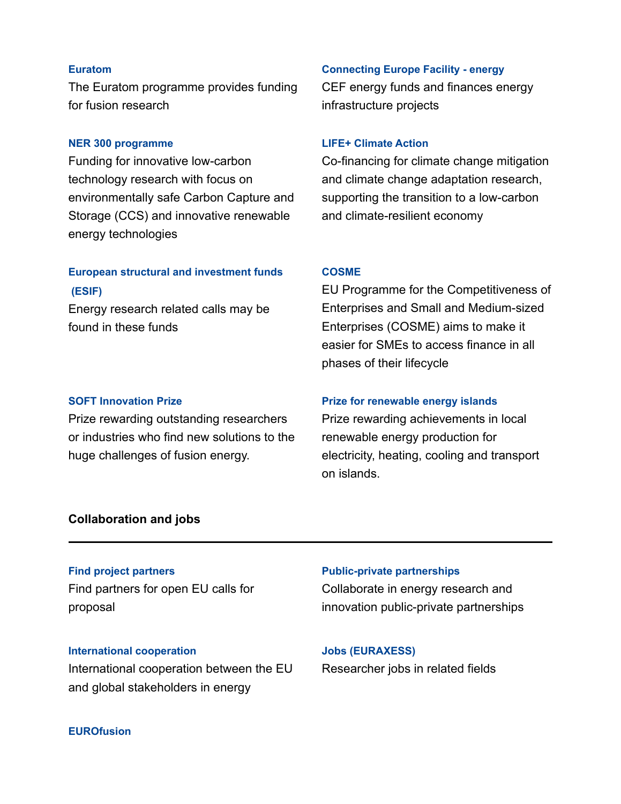#### [Euratom](https://ec.europa.eu/programmes/horizon2020/en/h2020-section/euratom)

The Euratom programme provides funding for fusion research

#### [NER 300 programme](https://ec.europa.eu/clima/policies/innovation-fund/ner300_en)

Funding for innovative low-carbon technology research with focus on environmentally safe Carbon Capture and Storage (CCS) and innovative renewable energy technologies

# [European structural and investment funds](https://ec.europa.eu/regional_policy/en/funding/)

Energy research related calls may be found in these funds

#### [SOFT Innovation Prize](https://ec.europa.eu/info/research-and-innovation/funding/funding-opportunities/prizes/soft-innovation-prize_en)

Prize rewarding outstanding researchers or industries who find new solutions to the huge challenges of fusion energy.

#### [Connecting Europe Facility - energy](https://ec.europa.eu/inea/en/connecting-europe-facility/cef-energy)

CEF energy funds and finances energy infrastructure projects

#### [LIFE+ Climate Action](http://ec.europa.eu/environment/life/project/Projects/index.cfm?fuseaction=home.getProjects&strandID=3)

Co-financing for climate change mitigation and climate change adaptation research, supporting the transition to a low-carbon and climate-resilient economy

### [COSME](https://ec.europa.eu/easme/en/cosme-0)

 [\(ESIF\)](https://ec.europa.eu/info/funding-tenders/funding-opportunities/funding-programmes/overview-funding-programmes/european-structural-and-investment-funds_en) EU Programme for the Competitiveness of Enterprises and Small and Medium-sized Enterprises (COSME) aims to make it easier for SMEs to access finance in all phases of their lifecycle

# [Prize for renewable energy islands](https://ec.europa.eu/info/research-and-innovation/funding/funding-opportunities/prizes/prize-renewable-energy-islands-responsible-island_en)

Prize rewarding achievements in local renewable energy production for electricity, heating, cooling and transport on islands.

#### Collaboration and jobs

#### [Find project partners](https://ec.europa.eu/research/participants/portal/desktop/en/organisations/partner_search.html)

Find partners for open EU calls for proposal

#### [International cooperation](https://ec.europa.eu/info/research-and-innovation/research-area/energy-research-and-innovation/international-cooperation_en)

International cooperation between the EU and global stakeholders in energy

# Collaborate in energy research and [Public-private partnerships](https://ec.europa.eu/info/research-and-innovation/research-area/energy-research-and-innovation/public-private-partnerships-energy_en)

innovation public-private partnerships

Researcher jobs in related fields [Jobs \(EURAXESS\)](https://euraxess.ec.europa.eu/jobs/search?keywords=nuclear%20fusion)

#### **[EUROfusion](https://www.euro-fusion.org/)**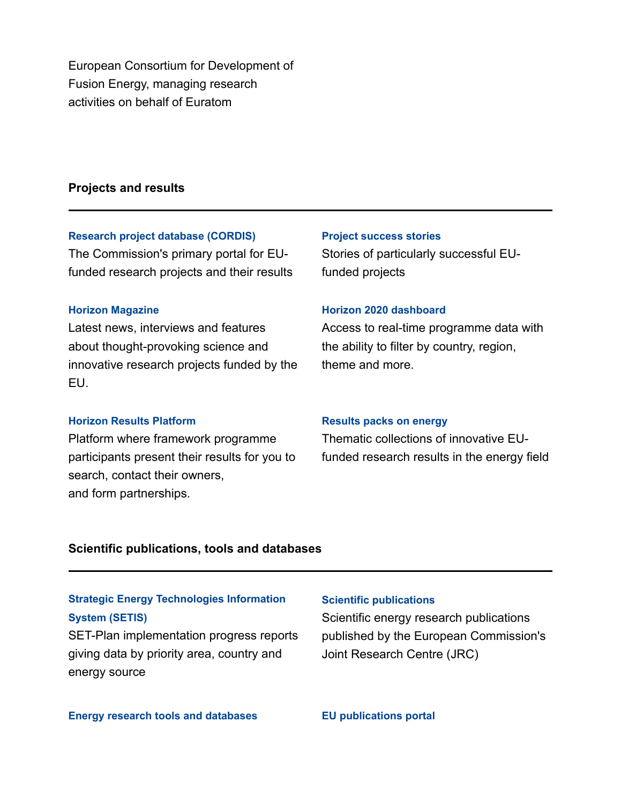European Consortium for Development of Fusion Energy, managing research activities on behalf of Euratom

# Projects and results

#### [Research project database \(CORDIS\)](https://cordis.europa.eu/search/en?q=%27nuclear%27%20AND%20%27fusion%27&p=1&num=10&srt=Relevance:decreasing)

The Commission's primary portal for EUfunded research projects and their results

#### [Horizon Magazine](https://horizon-magazine.eu/topics/energy)

Latest news, interviews and features about thought-provoking science and innovative research projects funded by the EU.

#### [Horizon Results Platform](https://ec.europa.eu/info/funding-tenders/opportunities/portal/screen/opportunities/horizon-results-platform)

Platform where framework programme participants present their results for you to search, contact their owners, and form partnerships.

#### [Project success stories](https://ec.europa.eu/research/infocentre/theme_en.cfm?item=Energy&subitem=Nuclear%20fusion)

Stories of particularly successful EUfunded projects

#### [Horizon 2020 dashboard](https://ec.europa.eu/info/funding-tenders/opportunities/portal/screen/home)

Access to real-time programme data with the ability to filter by country, region, theme and more.

#### [Results packs on energy](https://cordis.europa.eu/search/en?q=%2Farticle%2Frelations%2Fcategories%2Fcollection%2Fcode%3D%27pack%27%20AND%20language%3D%27en%27%20AND%20applicationDomain%2Fcode%3D%27ener%27%20AND%20(%27energy%27)&p=2&num=10&srt=contentUpdateDate:decreasing)

Thematic collections of innovative EUfunded research results in the energy field

#### Scientific publications, tools and databases

# [Strategic Energy Technologies Information](https://setis.ec.europa.eu/)

SET-Plan implementation progress reports giving data by priority area, country and energy source

#### [Scientific publications](https://ec.europa.eu/jrc/en/publications-list/fusion%2520energy)

System (SETIS) System (SETIS) Scientific energy research publications published by the European Commission's Joint Research Centre (JRC)

[Energy research tools and databases](https://ec.europa.eu/jrc/en/scientific-tools/fusion%2520) [EU publications portal](https://op.europa.eu/en/search-results?p_p_id=portal2012searchExecutor_WAR_portal2012portlet_INSTANCE_q8EzsBteHybf&p_p_lifecycle=1&p_p_state=normal&queryText=fusion+energy&facet.collection=EUPub&startRow=1&resultsPerPage=10&SEARCH_TYPE=SIMPLE)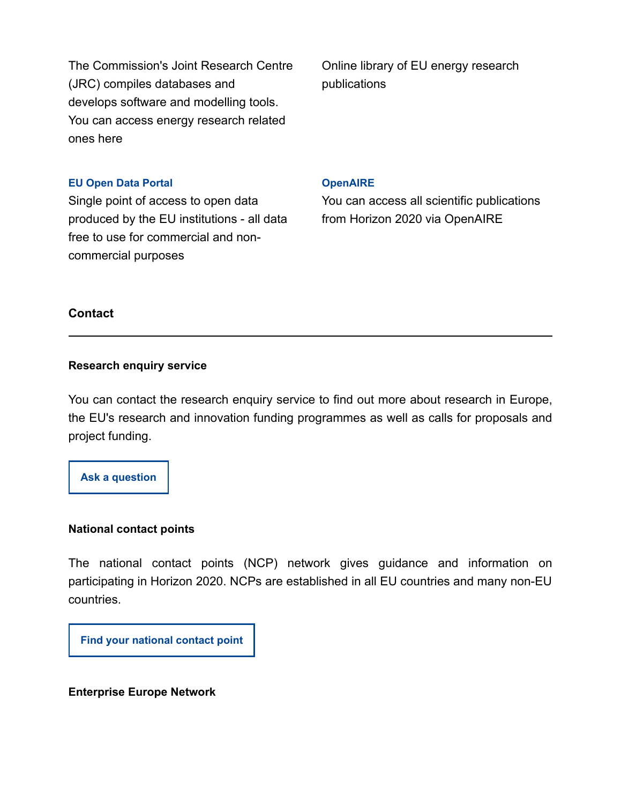The Commission's Joint Research Centre (JRC) compiles databases and develops software and modelling tools. You can access energy research related ones here

Online library of EU energy research publications

#### [EU Open Data Portal](https://data.europa.eu/euodp/en/data/dataset?q=energy&ext_boolean=all&sort=)

Single point of access to open data produced by the EU institutions - all data free to use for commercial and noncommercial purposes

#### **[OpenAIRE](https://explore.openaire.eu/search/find?keyword=energy%20research)**

You can access all scientific publications from Horizon 2020 via OpenAIRE

# **Contact**

# Research enquiry service

You can contact the research enquiry service to find out more about research in Europe, the EU's research and innovation funding programmes as well as calls for proposals and project funding.

[Ask a question](http://ec.europa.eu/research/index.cfm?pg=enquiries)

#### National contact points

The national contact points (NCP) network gives guidance and information on participating in Horizon 2020. NCPs are established in all EU countries and many non-EU countries.

[Find your national contact point](http://ec.europa.eu/research/participants/portal/desktop/en/support/national_contact_points.html)

#### Enterprise Europe Network